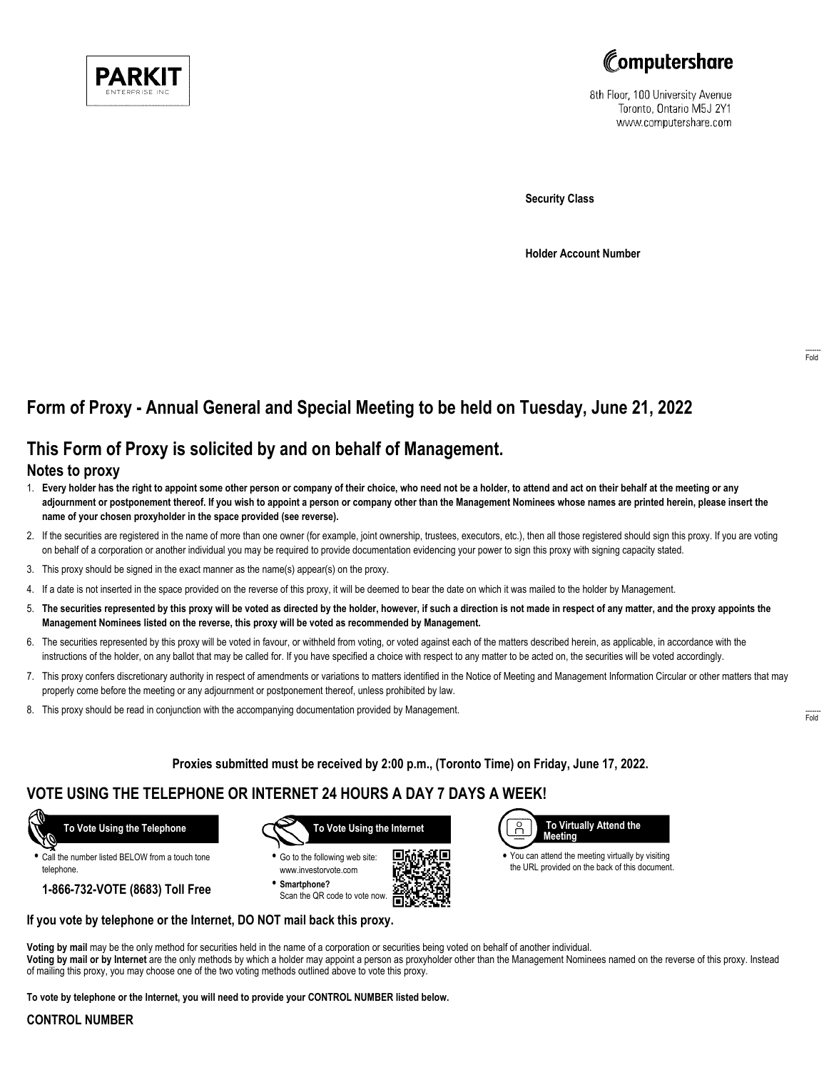



8th Floor, 100 University Avenue Toronto, Ontario M5J 2Y1 www.computershare.com

**Security Class**

**Holder Account Number**

# **Form of Proxy - Annual General and Special Meeting to be held on Tuesday, June 21, 2022**

## **This Form of Proxy is solicited by and on behalf of Management.**

#### **Notes to proxy**

- 1. **Every holder has the right to appoint some other person or company of their choice, who need not be a holder, to attend and act on their behalf at the meeting or any adjournment or postponement thereof. If you wish to appoint a person or company other than the Management Nominees whose names are printed herein, please insert the name of your chosen proxyholder in the space provided (see reverse).**
- 2. If the securities are registered in the name of more than one owner (for example, joint ownership, trustees, executors, etc.), then all those registered should sign this proxy. If you are voting on behalf of a corporation or another individual you may be required to provide documentation evidencing your power to sign this proxy with signing capacity stated.
- 3. This proxy should be signed in the exact manner as the name(s) appear(s) on the proxy.
- 4. If a date is not inserted in the space provided on the reverse of this proxy, it will be deemed to bear the date on which it was mailed to the holder by Management.
- 5. **The securities represented by this proxy will be voted as directed by the holder, however, if such a direction is not made in respect of any matter, and the proxy appoints the Management Nominees listed on the reverse, this proxy will be voted as recommended by Management.**
- 6. The securities represented by this proxy will be voted in favour, or withheld from voting, or voted against each of the matters described herein, as applicable, in accordance with the instructions of the holder, on any ballot that may be called for. If you have specified a choice with respect to any matter to be acted on, the securities will be voted accordingly.
- 7. This proxy confers discretionary authority in respect of amendments or variations to matters identified in the Notice of Meeting and Management Information Circular or other matters that may properly come before the meeting or any adjournment or postponement thereof, unless prohibited by law.
- 8. This proxy should be read in conjunction with the accompanying documentation provided by Management.

**Proxies submitted must be received by 2:00 p.m., (Toronto Time) on Friday, June 17, 2022.**

г.

## **VOTE USING THE TELEPHONE OR INTERNET 24 HOURS A DAY 7 DAYS A WEEK!**



**•** Call the number listed BELOW from a touch tone telephone.

**1-866-732-VOTE (8683) Toll Free**



**•** Go to the following web site: www.investorvote.com **• Smartphone?**

Scan the QR code to vote now.



**•** You can attend the meeting virtually by visiting the URL provided on the back of this document.

#### **If you vote by telephone or the Internet, DO NOT mail back this proxy.**

**Voting by mail** may be the only method for securities held in the name of a corporation or securities being voted on behalf of another individual. **Voting by mail or by Internet** are the only methods by which a holder may appoint a person as proxyholder other than the Management Nominees named on the reverse of this proxy. Instead of mailing this proxy, you may choose one of the two voting methods outlined above to vote this proxy.

**To vote by telephone or the Internet, you will need to provide your CONTROL NUMBER listed below.**

#### **CONTROL NUMBER**